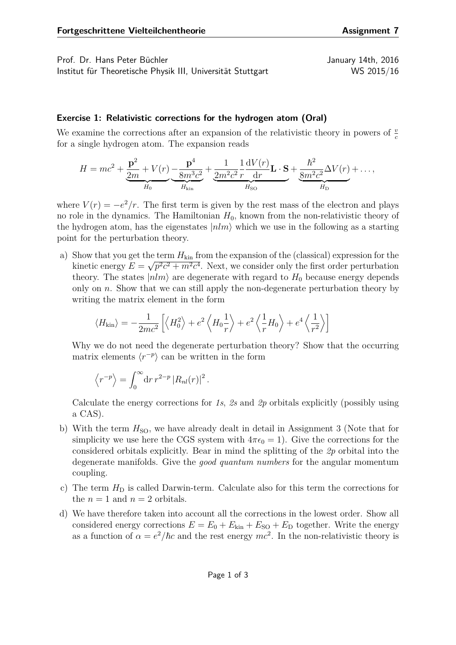Prof. Dr. Hans Peter Büchler January 14th, 2016 Institut für Theoretische Physik III, Universität Stuttgart WS 2015/16

## **Exercise 1: Relativistic corrections for the hydrogen atom (Oral)**

We examine the corrections after an expansion of the relativistic theory in powers of  $\frac{v}{c}$ for a single hydrogen atom. The expansion reads

$$
H = mc^{2} + \underbrace{\frac{\mathbf{p}^{2}}{2m} + V(r)}_{H_{0}} \underbrace{-\frac{\mathbf{p}^{4}}{8m^{3}c^{2}}}_{H_{\text{kin}}} + \underbrace{\frac{1}{2m^{2}c^{2}} \frac{1}{r} \frac{dV(r)}{dr} \mathbf{L} \cdot \mathbf{S}}_{H_{\text{SO}}} + \underbrace{\frac{\hbar^{2}}{8m^{2}c^{2}} \Delta V(r)}_{H_{\text{D}}} + \dots,
$$

where  $V(r) = -e^2/r$ . The first term is given by the rest mass of the electron and plays no role in the dynamics. The Hamiltonian  $H_0$ , known from the non-relativistic theory of the hydrogen atom, has the eigenstates  $|nlm\rangle$  which we use in the following as a starting point for the perturbation theory.

a) Show that you get the term  $H_{\text{kin}}$  from the expansion of the (classical) expression for the kinetic energy  $E = \sqrt{p^2c^2 + m^2c^4}$ . Next, we consider only the first order perturbation theory. The states  $|nlm\rangle$  are degenerate with regard to  $H_0$  because energy depends only on *n*. Show that we can still apply the non-degenerate perturbation theory by writing the matrix element in the form

$$
\langle H_{\rm kin} \rangle = -\frac{1}{2mc^2} \left[ \left\langle H_0^2 \right\rangle + e^2 \left\langle H_0 \frac{1}{r} \right\rangle + e^2 \left\langle \frac{1}{r} H_0 \right\rangle + e^4 \left\langle \frac{1}{r^2} \right\rangle \right]
$$

Why we do not need the degenerate perturbation theory? Show that the occurring matrix elements  $\langle r^{-p} \rangle$  can be written in the form

$$
\langle r^{-p} \rangle = \int_0^\infty dr \, r^{2-p} \, |R_{nl}(r)|^2 \, .
$$

Calculate the energy corrections for *1s*, *2s* and *2p* orbitals explicitly (possibly using a CAS).

- b) With the term  $H<sub>SO</sub>$ , we have already dealt in detail in Assignment 3 (Note that for simplicity we use here the CGS system with  $4\pi\epsilon_0 = 1$ ). Give the corrections for the considered orbitals explicitly. Bear in mind the splitting of the *2p* orbital into the degenerate manifolds. Give the *good quantum numbers* for the angular momentum coupling.
- c) The term  $H_D$  is called Darwin-term. Calculate also for this term the corrections for the  $n = 1$  and  $n = 2$  orbitals.
- d) We have therefore taken into account all the corrections in the lowest order. Show all considered energy corrections  $E = E_0 + E_{kin} + E_{SO} + E_D$  together. Write the energy as a function of  $\alpha = e^2/\hbar c$  and the rest energy  $mc^2$ . In the non-relativistic theory is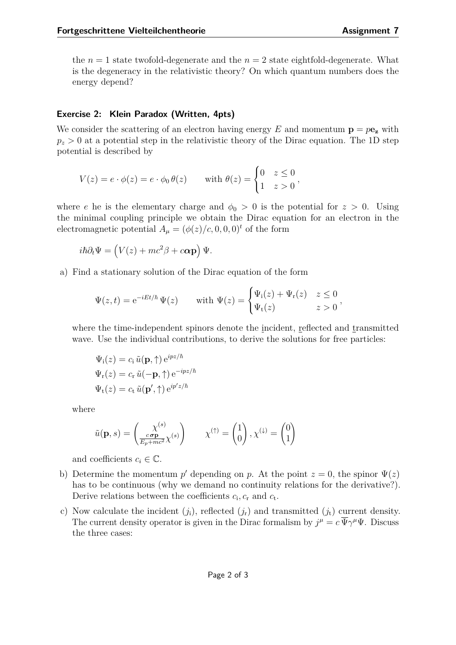the  $n = 1$  state twofold-degenerate and the  $n = 2$  state eightfold-degenerate. What is the degeneracy in the relativistic theory? On which quantum numbers does the energy depend?

## **Exercise 2: Klein Paradox (Written, 4pts)**

We consider the scattering of an electron having energy  $E$  and momentum  $\mathbf{p} = p\mathbf{e}_z$  with  $p_z > 0$  at a potential step in the relativistic theory of the Dirac equation. The 1D step potential is described by

$$
V(z) = e \cdot \phi(z) = e \cdot \phi_0 \theta(z) \quad \text{with } \theta(z) = \begin{cases} 0 & z \le 0 \\ 1 & z > 0 \end{cases},
$$

where *e* he is the elementary charge and  $\phi_0 > 0$  is the potential for  $z > 0$ . Using the minimal coupling principle we obtain the Dirac equation for an electron in the electromagnetic potential  $A_{\mu} = (\phi(z)/c, 0, 0, 0)^{t}$  of the form

$$
i\hbar \partial_t \Psi = \left( V(z) + mc^2 \beta + c \mathbf{\alpha} \mathbf{p} \right) \Psi.
$$

a) Find a stationary solution of the Dirac equation of the form

$$
\Psi(z,t) = e^{-iEt/\hbar} \Psi(z) \quad \text{with } \Psi(z) = \begin{cases} \Psi_i(z) + \Psi_r(z) & z \le 0 \\ \Psi_t(z) & z > 0 \end{cases}
$$

where the time-independent spinors denote the incident, reflected and transmitted wave. Use the individual contributions, to derive the solutions for free particles:

$$
\Psi_{i}(z) = c_{i} \tilde{u}(\mathbf{p}, \uparrow) e^{ipz/\hbar}
$$
  

$$
\Psi_{r}(z) = c_{r} \tilde{u}(-\mathbf{p}, \uparrow) e^{-ipz/\hbar}
$$
  

$$
\Psi_{t}(z) = c_{t} \tilde{u}(\mathbf{p}', \uparrow) e^{ip'z/\hbar}
$$

where

$$
\tilde{u}(\mathbf{p}, s) = \begin{pmatrix} \chi^{(s)} \\ \frac{c \, \sigma \mathbf{p}}{E_p + mc^2} \chi^{(s)} \end{pmatrix} \qquad \chi^{(\uparrow)} = \begin{pmatrix} 1 \\ 0 \end{pmatrix}, \chi^{(\downarrow)} = \begin{pmatrix} 0 \\ 1 \end{pmatrix}
$$

and coefficients  $c_i \in \mathbb{C}$ .

- b) Determine the momentum  $p'$  depending on  $p$ . At the point  $z = 0$ , the spinor  $\Psi(z)$ has to be continuous (why we demand no continuity relations for the derivative?). Derive relations between the coefficients  $c_i$ ,  $c_r$  and  $c_t$ .
- c) Now calculate the incident  $(j_i)$ , reflected  $(j_r)$  and transmitted  $(j_t)$  current density. The current density operator is given in the Dirac formalism by  $j^{\mu} = c \overline{\Psi} \gamma^{\mu} \Psi$ . Discuss the three cases: